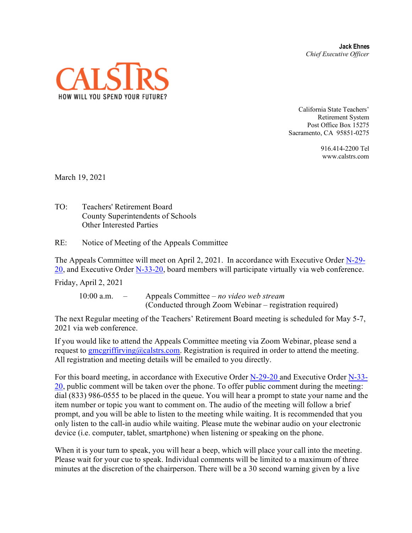**Jack Ehnes** *Chief Executive Officer*



California State Teachers' Retirement System Post Office Box 15275 Sacramento, CA 95851-0275

> 916.414-2200 Tel www.calstrs.com

March 19, 2021

TO: Teachers' Retirement Board County Superintendents of Schools Other Interested Parties

RE: Notice of Meeting of the Appeals Committee

The Appeals Committee will meet on April 2, 2021. In accordance with Executive Order [N-29-](https://www.gov.ca.gov/wp-content/uploads/2020/03/3.17.20-N-29-20-EO.pdf)  $20$ , and Executive Order N-33-[20,](https://www.gov.ca.gov/wp-content/uploads/2020/03/3.17.20-N-29-20-EO.pdf) board members will participate virtually via web conference.

Friday, April 2, 2021

 10:00 a.m. – Appeals Committee – *no video web stream* (Conducted through Zoom Webinar – registration required)

The next Regular meeting of the Teachers' Retirement Board meeting is scheduled for May 5-7, 2021 via web conference.

If you would like to attend the Appeals Committee meeting via Zoom Webinar, please send a request to [gmcgriffirving@calstrs.com.](mailto:gmcgriffirving@calstrs.com) Registration is required in order to attend the meeting. All registration and meeting details will be emailed to you directly.

For this board meeting, in accordance with Executive Order [N-29-20](https://www.gov.ca.gov/wp-content/uploads/2020/03/3.17.20-N-29-20-EO.pdf) and Executive Order [N-33-](https://covid19.ca.gov/img/Executive-Order-N-33-20.pdf)  $20$ , public comment will be taken over the phone. To offer public comment during the meeting: dial (833) 986-0555 to be placed in the queue. You will hear a prompt to state your name and the item number or topic you want to comment on. The audio of the meeting will follow a brief prompt, and you will be able to listen to the meeting while waiting. It is recommended that you only listen to the call-in audio while waiting. Please mute the webinar audio on your electronic device (i.e. computer, tablet, smartphone) when listening or speaking on the phone.

When it is your turn to speak, you will hear a beep, which will place your call into the meeting. Please wait for your cue to speak. Individual comments will be limited to a maximum of three minutes at the discretion of the chairperson. There will be a 30 second warning given by a live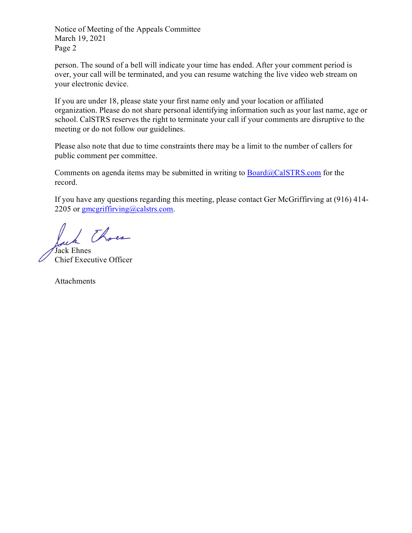Notice of Meeting of the Appeals Committee March 19, 2021 Page 2

person. The sound of a bell will indicate your time has ended. After your comment period is over, your call will be terminated, and you can resume watching the live video web stream on your electronic device.

If you are under 18, please state your first name only and your location or affiliated organization. Please do not share personal identifying information such as your last name, age or school. CalSTRS reserves the right to terminate your call if your comments are disruptive to the meeting or do not follow our guidelines.

Please also note that due to time constraints there may be a limit to the number of callers for public comment per committee.

Comments on agenda items may be submitted in writing to  $Board@CalSTRS.com$  for the record.

If you have any questions regarding this meeting, please contact Ger McGriffirving at (916) 414- 2205 or  $\frac{g}{g}$  megriffirving (*a*) calstrs.com.

1 Three

Jack Ehnes Chief Executive Officer

Attachments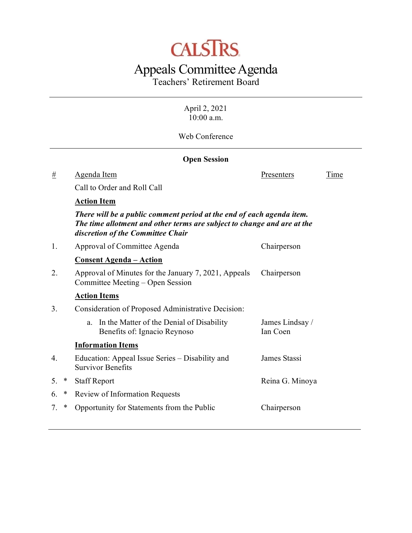# **CALSTRS**

## Appeals Committee Agenda

Teachers' Retirement Board

April 2, 2021 10:00 a.m.

Web Conference

|    | <b>Open Session</b>                                                                                                                                                                   |                                                                                          |                             |      |  |  |
|----|---------------------------------------------------------------------------------------------------------------------------------------------------------------------------------------|------------------------------------------------------------------------------------------|-----------------------------|------|--|--|
| #  |                                                                                                                                                                                       | Agenda Item                                                                              | Presenters                  | Time |  |  |
|    |                                                                                                                                                                                       | Call to Order and Roll Call                                                              |                             |      |  |  |
|    |                                                                                                                                                                                       | <b>Action Item</b>                                                                       |                             |      |  |  |
|    | There will be a public comment period at the end of each agenda item.<br>The time allotment and other terms are subject to change and are at the<br>discretion of the Committee Chair |                                                                                          |                             |      |  |  |
| 1. |                                                                                                                                                                                       | Approval of Committee Agenda                                                             | Chairperson                 |      |  |  |
|    |                                                                                                                                                                                       | <u> Consent Agenda – Action</u>                                                          |                             |      |  |  |
| 2. |                                                                                                                                                                                       | Approval of Minutes for the January 7, 2021, Appeals<br>Committee Meeting - Open Session | Chairperson                 |      |  |  |
|    |                                                                                                                                                                                       | <b>Action Items</b>                                                                      |                             |      |  |  |
| 3. |                                                                                                                                                                                       | Consideration of Proposed Administrative Decision:                                       |                             |      |  |  |
|    |                                                                                                                                                                                       | In the Matter of the Denial of Disability<br>a.<br>Benefits of: Ignacio Reynoso          | James Lindsay /<br>Ian Coen |      |  |  |
|    |                                                                                                                                                                                       | <b>Information Items</b>                                                                 |                             |      |  |  |
| 4. |                                                                                                                                                                                       | Education: Appeal Issue Series – Disability and<br><b>Survivor Benefits</b>              | James Stassi                |      |  |  |
| 5. | ∗                                                                                                                                                                                     | <b>Staff Report</b>                                                                      | Reina G. Minoya             |      |  |  |
| 6. | ∗                                                                                                                                                                                     | Review of Information Requests                                                           |                             |      |  |  |
| 7. | $\ast$                                                                                                                                                                                | Opportunity for Statements from the Public                                               | Chairperson                 |      |  |  |